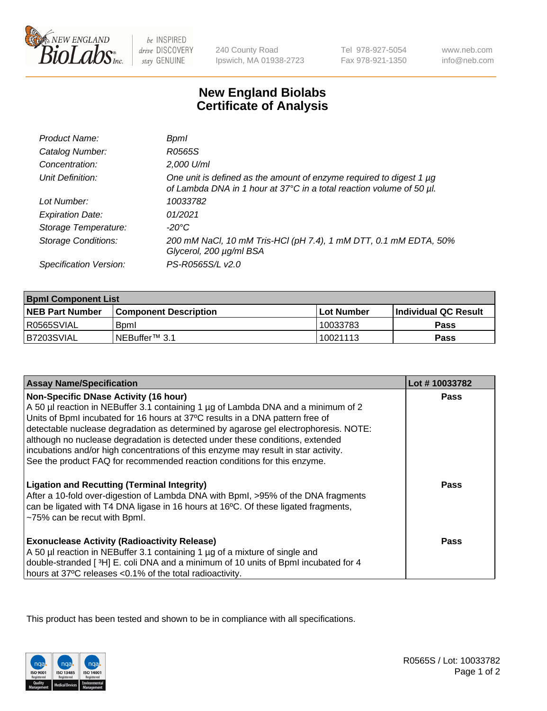

 $be$  INSPIRED drive DISCOVERY stay GENUINE

240 County Road Ipswich, MA 01938-2723 Tel 978-927-5054 Fax 978-921-1350

www.neb.com info@neb.com

## **New England Biolabs Certificate of Analysis**

| Product Name:              | <b>Bpml</b>                                                                                                                                 |
|----------------------------|---------------------------------------------------------------------------------------------------------------------------------------------|
| Catalog Number:            | R0565S                                                                                                                                      |
| Concentration:             | 2,000 U/ml                                                                                                                                  |
| Unit Definition:           | One unit is defined as the amount of enzyme required to digest 1 µg<br>of Lambda DNA in 1 hour at 37°C in a total reaction volume of 50 µl. |
| Lot Number:                | 10033782                                                                                                                                    |
| <b>Expiration Date:</b>    | 01/2021                                                                                                                                     |
| Storage Temperature:       | -20°C                                                                                                                                       |
| <b>Storage Conditions:</b> | 200 mM NaCl, 10 mM Tris-HCl (pH 7.4), 1 mM DTT, 0.1 mM EDTA, 50%<br>Glycerol, 200 µg/ml BSA                                                 |
| Specification Version:     | PS-R0565S/L v2.0                                                                                                                            |

| <b>Bpml Component List</b> |                         |             |                             |  |
|----------------------------|-------------------------|-------------|-----------------------------|--|
| <b>NEB Part Number</b>     | l Component Description | ⊺Lot Number | <b>Individual QC Result</b> |  |
| I R0565SVIAL               | <b>B</b> <sub>pm</sub>  | 10033783    | Pass                        |  |
| B7203SVIAL                 | INEBuffer™ 3.1          | 10021113    | Pass                        |  |

| <b>Assay Name/Specification</b>                                                                                                                                                                                                                               | Lot #10033782 |
|---------------------------------------------------------------------------------------------------------------------------------------------------------------------------------------------------------------------------------------------------------------|---------------|
| <b>Non-Specific DNase Activity (16 hour)</b>                                                                                                                                                                                                                  | <b>Pass</b>   |
| A 50 µl reaction in NEBuffer 3.1 containing 1 µg of Lambda DNA and a minimum of 2                                                                                                                                                                             |               |
| Units of BpmI incubated for 16 hours at 37°C results in a DNA pattern free of                                                                                                                                                                                 |               |
| detectable nuclease degradation as determined by agarose gel electrophoresis. NOTE:                                                                                                                                                                           |               |
| although no nuclease degradation is detected under these conditions, extended                                                                                                                                                                                 |               |
| incubations and/or high concentrations of this enzyme may result in star activity.<br>See the product FAQ for recommended reaction conditions for this enzyme.                                                                                                |               |
|                                                                                                                                                                                                                                                               |               |
| <b>Ligation and Recutting (Terminal Integrity)</b><br>After a 10-fold over-digestion of Lambda DNA with Bpml, >95% of the DNA fragments<br>can be ligated with T4 DNA ligase in 16 hours at 16°C. Of these ligated fragments,<br>~75% can be recut with Bpml. | <b>Pass</b>   |
| <b>Exonuclease Activity (Radioactivity Release)</b>                                                                                                                                                                                                           | Pass          |
| A 50 µl reaction in NEBuffer 3.1 containing 1 µg of a mixture of single and                                                                                                                                                                                   |               |
| double-stranded [3H] E. coli DNA and a minimum of 10 units of BpmI incubated for 4                                                                                                                                                                            |               |
| hours at 37°C releases <0.1% of the total radioactivity.                                                                                                                                                                                                      |               |

This product has been tested and shown to be in compliance with all specifications.